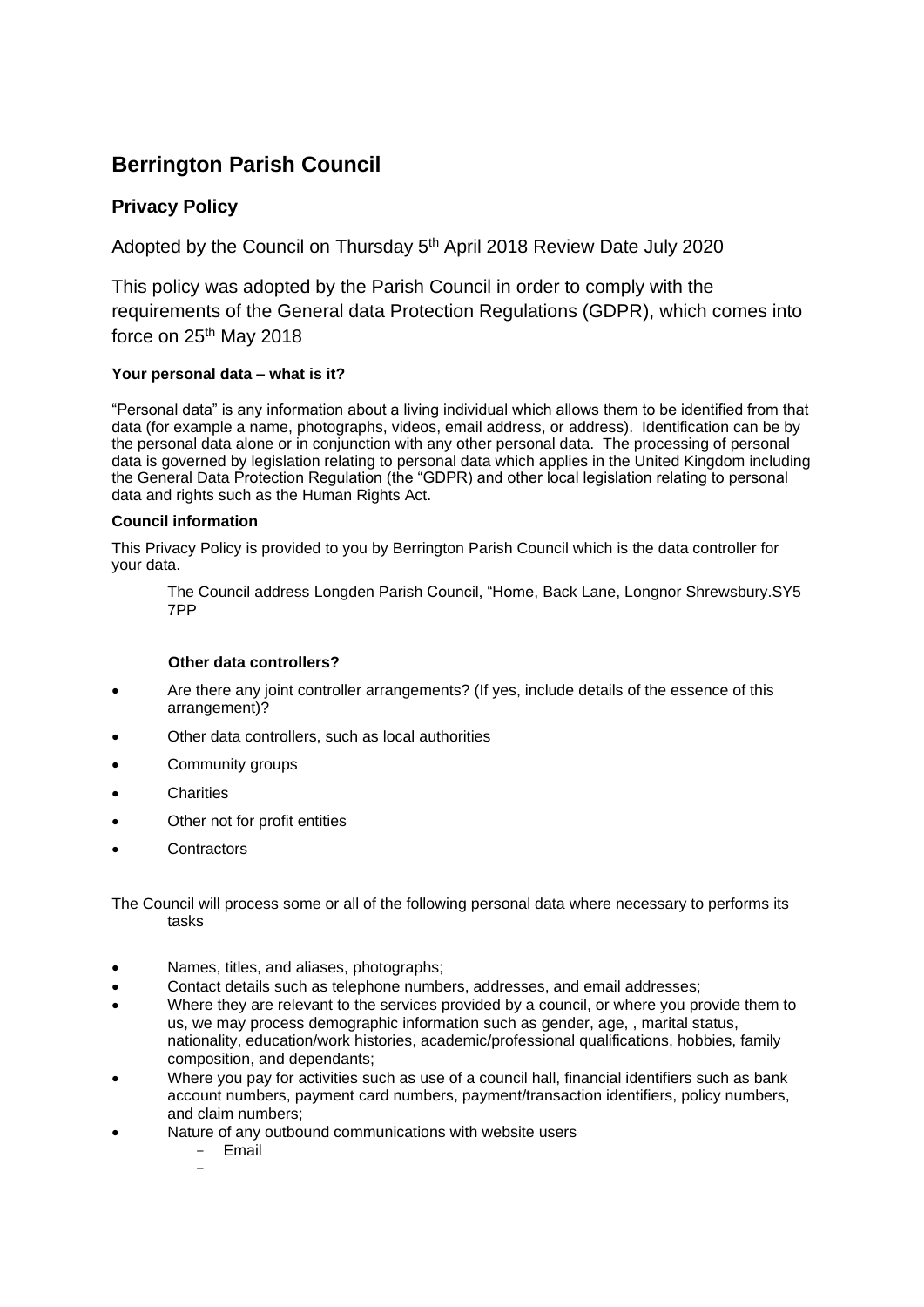# **Berrington Parish Council**

## **Privacy Policy**

Adopted by the Council on Thursday 5<sup>th</sup> April 2018 Review Date July 2020

This policy was adopted by the Parish Council in order to comply with the requirements of the General data Protection Regulations (GDPR), which comes into force on 25<sup>th</sup> May 2018

### **Your personal data – what is it?**

"Personal data" is any information about a living individual which allows them to be identified from that data (for example a name, photographs, videos, email address, or address). Identification can be by the personal data alone or in conjunction with any other personal data. The processing of personal data is governed by legislation relating to personal data which applies in the United Kingdom including the General Data Protection Regulation (the "GDPR) and other local legislation relating to personal data and rights such as the Human Rights Act.

### **Council information**

This Privacy Policy is provided to you by Berrington Parish Council which is the data controller for your data.

The Council address Longden Parish Council, "Home, Back Lane, Longnor Shrewsbury.SY5 7PP

### **Other data controllers?**

- Are there any joint controller arrangements? (If yes, include details of the essence of this arrangement)?
- Other data controllers, such as local authorities
- Community groups
- **Charities**
- Other not for profit entities
- **Contractors**

The Council will process some or all of the following personal data where necessary to performs its tasks

- Names, titles, and aliases, photographs;
- Contact details such as telephone numbers, addresses, and email addresses;
- Where they are relevant to the services provided by a council, or where you provide them to us, we may process demographic information such as gender, age, , marital status, nationality, education/work histories, academic/professional qualifications, hobbies, family composition, and dependants;
- Where you pay for activities such as use of a council hall, financial identifiers such as bank account numbers, payment card numbers, payment/transaction identifiers, policy numbers, and claim numbers;
- Nature of any outbound communications with website users
	- Email

-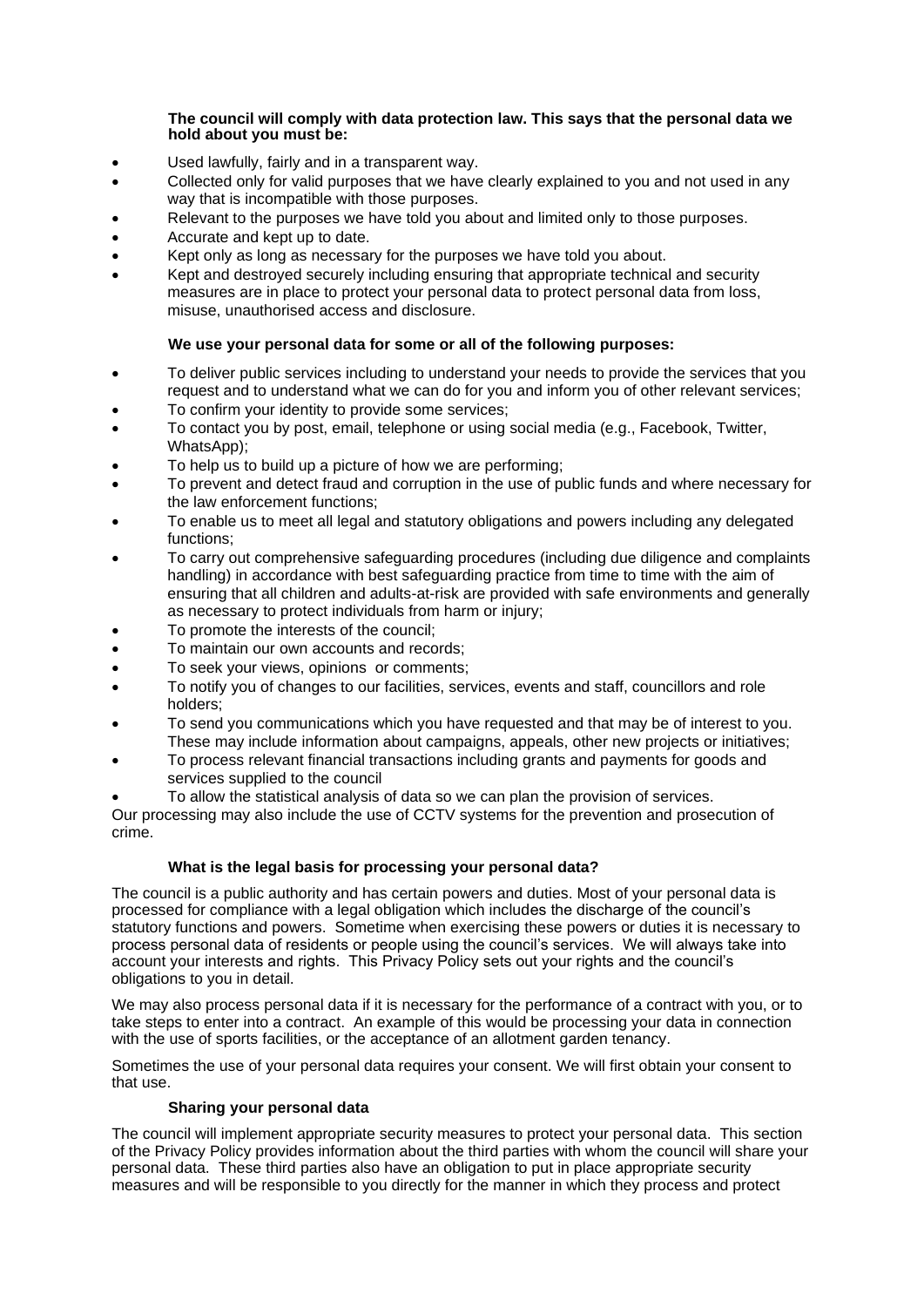#### **The council will comply with data protection law. This says that the personal data we hold about you must be:**

- Used lawfully, fairly and in a transparent way.
- Collected only for valid purposes that we have clearly explained to you and not used in any way that is incompatible with those purposes.
- Relevant to the purposes we have told you about and limited only to those purposes.
- Accurate and kept up to date.
- Kept only as long as necessary for the purposes we have told you about.
- Kept and destroyed securely including ensuring that appropriate technical and security measures are in place to protect your personal data to protect personal data from loss, misuse, unauthorised access and disclosure.

#### **We use your personal data for some or all of the following purposes:**

- To deliver public services including to understand your needs to provide the services that you request and to understand what we can do for you and inform you of other relevant services;
- To confirm your identity to provide some services:
- To contact you by post, email, telephone or using social media (e.g., Facebook, Twitter, WhatsApp);
- To help us to build up a picture of how we are performing;
- To prevent and detect fraud and corruption in the use of public funds and where necessary for the law enforcement functions;
- To enable us to meet all legal and statutory obligations and powers including any delegated functions;
- To carry out comprehensive safeguarding procedures (including due diligence and complaints handling) in accordance with best safeguarding practice from time to time with the aim of ensuring that all children and adults-at-risk are provided with safe environments and generally as necessary to protect individuals from harm or injury;
- To promote the interests of the council;
- To maintain our own accounts and records;
- To seek your views, opinions or comments;
- To notify you of changes to our facilities, services, events and staff, councillors and role holders;
- To send you communications which you have requested and that may be of interest to you. These may include information about campaigns, appeals, other new projects or initiatives;
- To process relevant financial transactions including grants and payments for goods and services supplied to the council

• To allow the statistical analysis of data so we can plan the provision of services. Our processing may also include the use of CCTV systems for the prevention and prosecution of crime.

#### **What is the legal basis for processing your personal data?**

The council is a public authority and has certain powers and duties. Most of your personal data is processed for compliance with a legal obligation which includes the discharge of the council's statutory functions and powers. Sometime when exercising these powers or duties it is necessary to process personal data of residents or people using the council's services. We will always take into account your interests and rights. This Privacy Policy sets out your rights and the council's obligations to you in detail.

We may also process personal data if it is necessary for the performance of a contract with you, or to take steps to enter into a contract. An example of this would be processing your data in connection with the use of sports facilities, or the acceptance of an allotment garden tenancy.

Sometimes the use of your personal data requires your consent. We will first obtain your consent to that use.

### **Sharing your personal data**

The council will implement appropriate security measures to protect your personal data. This section of the Privacy Policy provides information about the third parties with whom the council will share your personal data. These third parties also have an obligation to put in place appropriate security measures and will be responsible to you directly for the manner in which they process and protect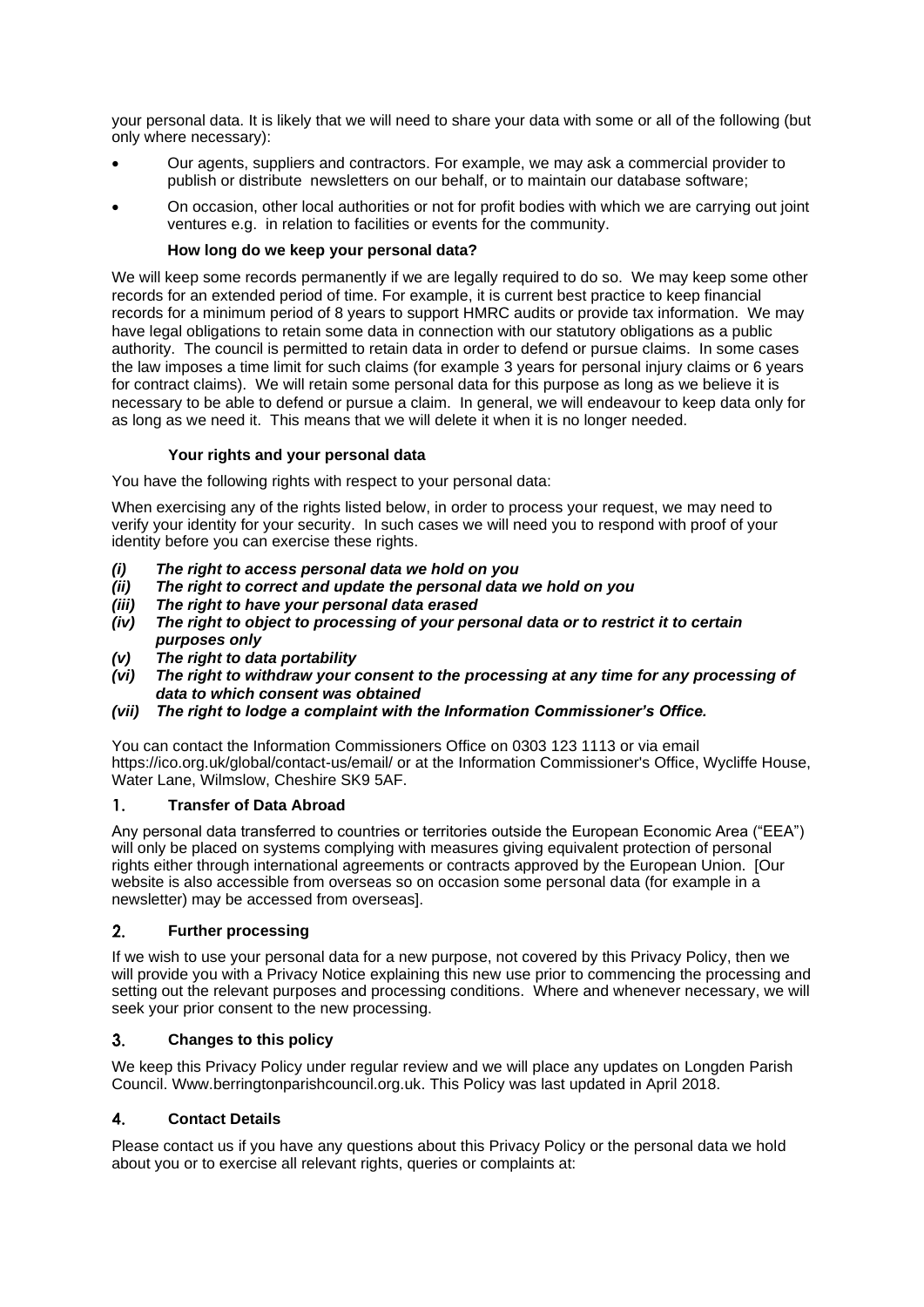your personal data. It is likely that we will need to share your data with some or all of the following (but only where necessary):

- Our agents, suppliers and contractors. For example, we may ask a commercial provider to publish or distribute newsletters on our behalf, or to maintain our database software;
- On occasion, other local authorities or not for profit bodies with which we are carrying out joint ventures e.g. in relation to facilities or events for the community.

#### **How long do we keep your personal data?**

We will keep some records permanently if we are legally required to do so. We may keep some other records for an extended period of time. For example, it is current best practice to keep financial records for a minimum period of 8 years to support HMRC audits or provide tax information. We may have legal obligations to retain some data in connection with our statutory obligations as a public authority. The council is permitted to retain data in order to defend or pursue claims. In some cases the law imposes a time limit for such claims (for example 3 years for personal injury claims or 6 years for contract claims). We will retain some personal data for this purpose as long as we believe it is necessary to be able to defend or pursue a claim. In general, we will endeavour to keep data only for as long as we need it. This means that we will delete it when it is no longer needed.

#### **Your rights and your personal data**

You have the following rights with respect to your personal data:

When exercising any of the rights listed below, in order to process your request, we may need to verify your identity for your security. In such cases we will need you to respond with proof of your identity before you can exercise these rights.

- *(i) The right to access personal data we hold on you*
- *(ii) The right to correct and update the personal data we hold on you*
- *(iii) The right to have your personal data erased*
- *(iv) The right to object to processing of your personal data or to restrict it to certain purposes only*
- *(v) The right to data portability*
- *(vi) The right to withdraw your consent to the processing at any time for any processing of data to which consent was obtained*
- *(vii) The right to lodge a complaint with the Information Commissioner's Office.*

You can contact the Information Commissioners Office on 0303 123 1113 or via email https://ico.org.uk/global/contact-us/email/ or at the Information Commissioner's Office, Wycliffe House, Water Lane, Wilmslow, Cheshire SK9 5AF.

#### $\mathbf{1}$ . **Transfer of Data Abroad**

Any personal data transferred to countries or territories outside the European Economic Area ("EEA") will only be placed on systems complying with measures giving equivalent protection of personal rights either through international agreements or contracts approved by the European Union. [Our website is also accessible from overseas so on occasion some personal data (for example in a newsletter) may be accessed from overseas].

#### **Further processing**  $2.$

If we wish to use your personal data for a new purpose, not covered by this Privacy Policy, then we will provide you with a Privacy Notice explaining this new use prior to commencing the processing and setting out the relevant purposes and processing conditions. Where and whenever necessary, we will seek your prior consent to the new processing.

#### $3.$ **Changes to this policy**

We keep this Privacy Policy under regular review and we will place any updates on Longden Parish Council. Www.berringtonparishcouncil.org.uk. This Policy was last updated in April 2018.

#### $\overline{4}$ . **Contact Details**

Please contact us if you have any questions about this Privacy Policy or the personal data we hold about you or to exercise all relevant rights, queries or complaints at: